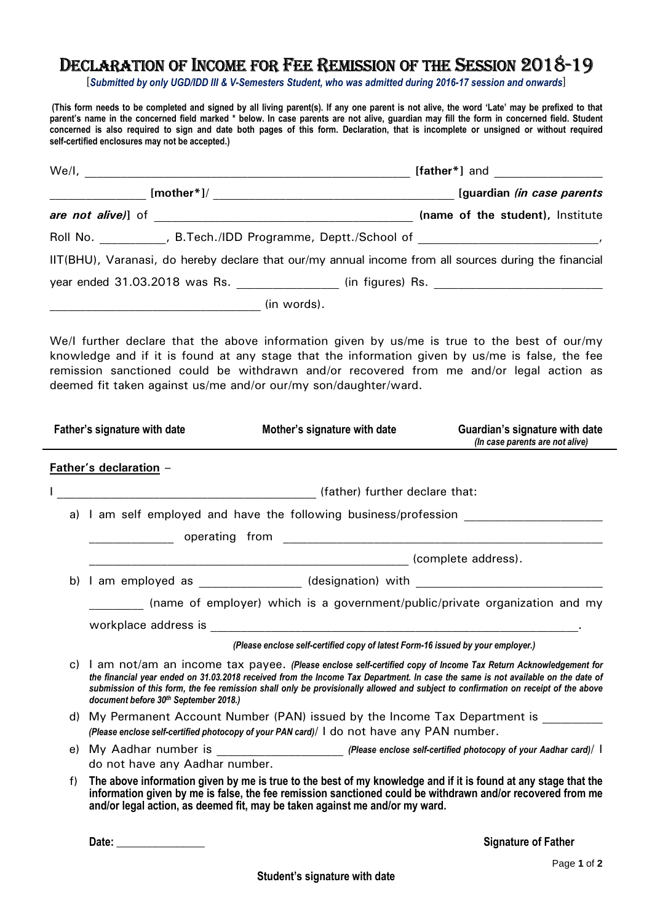## DECLARATION OF INCOME FOR FEE REMISSION OF THE SESSION 2018-19

[*Submitted by only UGD/IDD III & V-Semesters Student, who was admitted during 2016-17 session and onwards*]

 **(This form needs to be completed and signed by all living parent(s). If any one parent is not alive, the word 'Late' may be prefixed to that parent's name in the concerned field marked \* below. In case parents are not alive, guardian may fill the form in concerned field. Student concerned is also required to sign and date both pages of this form. Declaration, that is incomplete or unsigned or without required self-certified enclosures may not be accepted.)** 

|  | $[mother*]/$ |  | [guardian (in case parents                                                                            |
|--|--------------|--|-------------------------------------------------------------------------------------------------------|
|  |              |  | (name of the student), Institute                                                                      |
|  |              |  |                                                                                                       |
|  |              |  | IIT(BHU), Varanasi, do hereby declare that our/my annual income from all sources during the financial |
|  |              |  |                                                                                                       |
|  | (in words).  |  |                                                                                                       |

We/I further declare that the above information given by us/me is true to the best of our/my knowledge and if it is found at any stage that the information given by us/me is false, the fee remission sanctioned could be withdrawn and/or recovered from me and/or legal action as deemed fit taken against us/me and/or our/my son/daughter/ward.

|  |    | Father's signature with date                                                | Mother's signature with date                                                                                                                                                                                                                                                                                                                                                               | Guardian's signature with date<br>(In case parents are not alive) |  |  |
|--|----|-----------------------------------------------------------------------------|--------------------------------------------------------------------------------------------------------------------------------------------------------------------------------------------------------------------------------------------------------------------------------------------------------------------------------------------------------------------------------------------|-------------------------------------------------------------------|--|--|
|  |    | Father's declaration -                                                      |                                                                                                                                                                                                                                                                                                                                                                                            |                                                                   |  |  |
|  |    |                                                                             | (father) further declare that:                                                                                                                                                                                                                                                                                                                                                             |                                                                   |  |  |
|  |    | a) I am self employed and have the following business/profession            |                                                                                                                                                                                                                                                                                                                                                                                            |                                                                   |  |  |
|  |    |                                                                             |                                                                                                                                                                                                                                                                                                                                                                                            |                                                                   |  |  |
|  |    |                                                                             |                                                                                                                                                                                                                                                                                                                                                                                            |                                                                   |  |  |
|  |    |                                                                             | b) I am employed as _______________ (designation) with __________________________                                                                                                                                                                                                                                                                                                          |                                                                   |  |  |
|  |    | (name of employer) which is a government/public/private organization and my |                                                                                                                                                                                                                                                                                                                                                                                            |                                                                   |  |  |
|  |    |                                                                             |                                                                                                                                                                                                                                                                                                                                                                                            |                                                                   |  |  |
|  |    |                                                                             | (Please enclose self-certified copy of latest Form-16 issued by your employer.)                                                                                                                                                                                                                                                                                                            |                                                                   |  |  |
|  |    | document before 30th September 2018.)                                       | c) I am not/am an income tax payee. (Please enclose self-certified copy of Income Tax Return Acknowledgement for<br>the financial year ended on 31.03.2018 received from the Income Tax Department. In case the same is not available on the date of<br>submission of this form, the fee remission shall only be provisionally allowed and subject to confirmation on receipt of the above |                                                                   |  |  |
|  |    | d) My Permanent Account Number (PAN) issued by the Income Tax Department is |                                                                                                                                                                                                                                                                                                                                                                                            |                                                                   |  |  |
|  |    |                                                                             | (Please enclose self-certified photocopy of your PAN card)/ I do not have any PAN number.                                                                                                                                                                                                                                                                                                  |                                                                   |  |  |
|  |    |                                                                             |                                                                                                                                                                                                                                                                                                                                                                                            |                                                                   |  |  |
|  |    | do not have any Aadhar number.                                              |                                                                                                                                                                                                                                                                                                                                                                                            |                                                                   |  |  |
|  | f) |                                                                             | The above information given by me is true to the best of my knowledge and if it is found at any stage that the<br>information given by me is false, the fee remission sanctioned could be withdrawn and/or recovered from me<br>and/or legal action, as deemed fit, may be taken against me and/or my ward.                                                                                |                                                                   |  |  |
|  |    |                                                                             |                                                                                                                                                                                                                                                                                                                                                                                            |                                                                   |  |  |

 **Date: \_\_\_\_\_\_\_\_\_\_\_\_\_\_\_\_ Signature of Father**